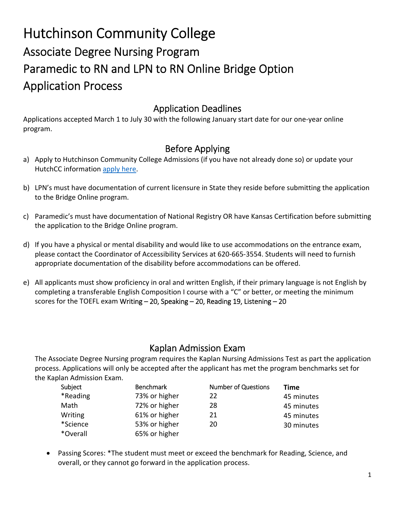# Hutchinson Community College Associate Degree Nursing Program Paramedic to RN and LPN to RN Online Bridge Option Application Process

## Application Deadlines

Applications accepted March 1 to July 30 with the following January start date for our one‐year online program.

## Before Applying

- a) Apply to Hutchinson Community College Admissions (if you have not already done so) or update your HutchCC information [apply](www.hutchcc.edu/apply) here.
- b) LPN's must have documentation of current licensure in State they reside before submitting the application to the Bridge Online program.
- c) Paramedic's must have documentation of National Registry OR have Kansas Certification before submitting the application to the Bridge Online program.
- d) If you have a physical or mental disability and would like to use accommodations on the entrance exam, please contact the Coordinator of Accessibility Services at 620‐665‐3554. Students will need to furnish appropriate documentation of the disability before accommodations can be offered.
- e) All applicants must show proficiency in oral and written English, if their primary language is not English by completing a transferable English Composition I course with a "C" or better, or meeting the minimum scores for the TOEFL exam Writing – 20, Speaking – 20, Reading 19, Listening – 20

## Kaplan Admission Exam

The Associate Degree Nursing program requires the Kaplan Nursing Admissions Test as part the application process. Applications will only be accepted after the applicant has met the program benchmarks set for the Kaplan Admission Exam.

| Subject  | <b>Benchmark</b> | <b>Number of Questions</b> | Time       |
|----------|------------------|----------------------------|------------|
| *Reading | 73% or higher    | 22                         | 45 minutes |
| Math     | 72% or higher    | 28                         | 45 minutes |
| Writing  | 61% or higher    | 21                         | 45 minutes |
| *Science | 53% or higher    | 20                         | 30 minutes |
| *Overall | 65% or higher    |                            |            |

 Passing Scores: \*The student must meet or exceed the benchmark for Reading, Science, and overall, or they cannot go forward in the application process.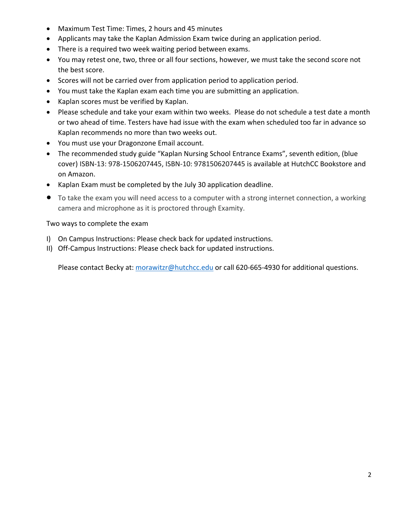- Maximum Test Time: Times, 2 hours and 45 minutes
- Applicants may take the Kaplan Admission Exam twice during an application period.
- There is a required two week waiting period between exams.
- You may retest one, two, three or all four sections, however, we must take the second score not the best score.
- Scores will not be carried over from application period to application period.
- You must take the Kaplan exam each time you are submitting an application.
- Kaplan scores must be verified by Kaplan.
- Please schedule and take your exam within two weeks. Please do not schedule a test date a month or two ahead of time. Testers have had issue with the exam when scheduled too far in advance so Kaplan recommends no more than two weeks out.
- You must use your Dragonzone Email account.
- The recommended study guide "Kaplan Nursing School Entrance Exams", seventh edition, (blue cover) ISBN‐13: 978‐1506207445, ISBN‐10: 9781506207445 is available at HutchCC Bookstore and on Amazon.
- Kaplan Exam must be completed by the July 30 application deadline.
- To take the exam you will need access to a computer with a strong internet connection, a working camera and microphone as it is proctored through Examity.

### Two ways to complete the exam

- I) On Campus Instructions: Please check back for updated instructions.
- II) Off‐Campus Instructions: Please check back for updated instructions.

Please contact Becky at: morawitzr@hutchcc.edu or call 620-665-4930 for additional questions.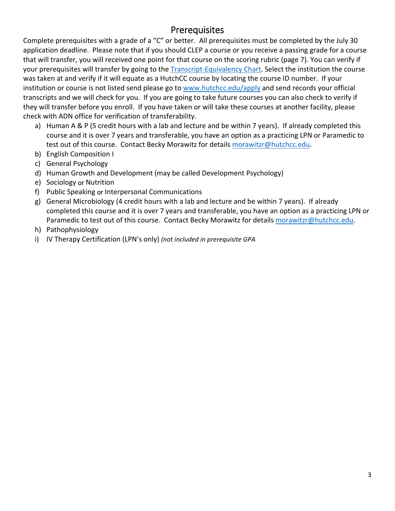## **Prerequisites**

Complete prerequisites with a grade of a "C" or better. All prerequisites must be completed by the July 30 application deadline. Please note that if you should CLEP a course or you receive a passing grade for a course that will transfer, you will received one point for that course on the scoring rubric (page 7). You can verify if your prerequisites will transfer by going to the Transcript‐[Equivalency](http://www1.hutchcc.edu/administration/records/transcript-equivalency) Chart. Select the institution the course was taken at and verify if it will equate as a HutchCC course by locating the course ID number. If your institution or course is not listed send please go to www.hutchcc.edu/apply and send records your official transcripts and we will check for you. If you are going to take future courses you can also check to verify if they will transfer before you enroll. If you have taken or will take these courses at another facility, please check with ADN office for verification of transferability.

- a) Human A & P (5 credit hours with a lab and lecture and be within 7 years). If already completed this course and it is over 7 years and transferable, you have an option as a practicing LPN or Paramedic to test out of this course. Contact Becky Morawitz for details morawitzr@hutchcc.edu.
- b) English Composition I
- c) General Psychology
- d) Human Growth and Development (may be called Development Psychology)
- e) Sociology or Nutrition
- f) Public Speaking or Interpersonal Communications
- g) General Microbiology (4 credit hours with a lab and lecture and be within 7 years). If already completed this course and it is over 7 years and transferable, you have an option as a practicing LPN or Paramedic to test out of this course. Contact Becky Morawitz for details morawitzr@hutchcc.edu.
- h) Pathophysiology
- i) IV Therapy Certification (LPN's only) *(not included in prerequisite GPA*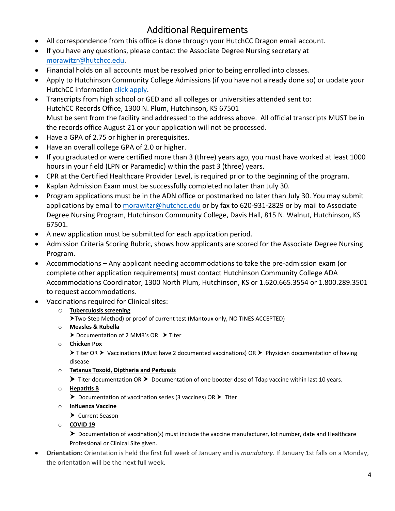## Additional Requirements

- All correspondence from this office is done through your HutchCC Dragon email account.
- If you have any questions, please contact the Associate Degree Nursing secretary at morawitzr@hutchcc.edu.
- Financial holds on all accounts must be resolved prior to being enrolled into classes.
- Apply to Hutchinson Community College Admissions (if you have not already done so) or update your HutchCC information click [apply.](www.hutchcc.edu/apply)
- Transcripts from high school or GED and all colleges or universities attended sent to: HutchCC Records Office, 1300 N. Plum, Hutchinson, KS 67501 Must be sent from the facility and addressed to the address above. All official transcripts MUST be in the records office August 21 or your application will not be processed.
- Have a GPA of 2.75 or higher in prerequisites.
- Have an overall college GPA of 2.0 or higher.
- If you graduated or were certified more than 3 (three) years ago, you must have worked at least 1000 hours in your field (LPN or Paramedic) within the past 3 (three) years.
- CPR at the Certified Healthcare Provider Level, is required prior to the beginning of the program.
- Kaplan Admission Exam must be successfully completed no later than July 30.
- Program applications must be in the ADN office or postmarked no later than July 30. You may submit applications by email to morawitzr@hutchcc.edu or by fax to 620-931-2829 or by mail to Associate Degree Nursing Program, Hutchinson Community College, Davis Hall, 815 N. Walnut, Hutchinson, KS 67501.
- A new application must be submitted for each application period.
- Admission Criteria Scoring Rubric, shows how applicants are scored for the Associate Degree Nursing Program.
- Accommodations Any applicant needing accommodations to take the pre‐admission exam (or complete other application requirements) must contact Hutchinson Community College ADA Accommodations Coordinator, 1300 North Plum, Hutchinson, KS or 1.620.665.3554 or 1.800.289.3501 to request accommodations.
- Vaccinations required for Clinical sites:
	- o **Tuberculosis screening**
		- Two‐Step Method) or proof of current test (Mantoux only, NO TINES ACCEPTED)
	- o **Measles & Rubella**
		- $\triangleright$  Documentation of 2 MMR's OR  $\triangleright$  Titer
	- o **Chicken Pox**

> Titer OR > Vaccinations (Must have 2 documented vaccinations) OR > Physician documentation of having disease

o **Tetanus Toxoid, Diptheria and Pertussis**

Titer documentation OR > Documentation of one booster dose of Tdap vaccine within last 10 years.

o **Hepatitis B**

 $\triangleright$  Documentation of vaccination series (3 vaccines) OR  $\triangleright$  Titer

- o **Influenza Vaccine**
	- ▶ Current Season
- o **COVID 19**

▶ Documentation of vaccination(s) must include the vaccine manufacturer, lot number, date and Healthcare Professional or Clinical Site given.

 **Orientation:** Orientation is held the first full week of January and is *mandatory*. If January 1st falls on a Monday, the orientation will be the next full week.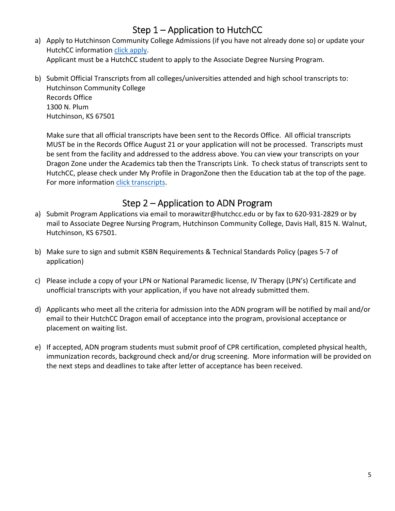## Step 1 – Application to HutchCC

- a) Apply to Hutchinson Community College Admissions (if you have not already done so) or update your HutchCC information click [apply.](www.hutchcc.edu/apply) Applicant must be a HutchCC student to apply to the Associate Degree Nursing Program.
- b) Submit Official Transcripts from all colleges/universities attended and high school transcripts to: Hutchinson Community College Records Office 1300 N. Plum Hutchinson, KS 67501

Make sure that all official transcripts have been sent to the Records Office. All official transcripts MUST be in the Records Office August 21 or your application will not be processed. Transcripts must be sent from the facility and addressed to the address above. You can view your transcripts on your Dragon Zone under the Academics tab then the Transcripts Link. To check status of transcripts sent to HutchCC, please check under My Profile in DragonZone then the Education tab at the top of the page. For more information click [transcripts](https://www.hutchcc.edu/sending-transcripts).

## Step 2 – Application to ADN Program

- a) Submit Program Applications via email to morawitzr@hutchcc.edu or by fax to 620-931-2829 or by mail to Associate Degree Nursing Program, Hutchinson Community College, Davis Hall, 815 N. Walnut, Hutchinson, KS 67501.
- b) Make sure to sign and submit KSBN Requirements & Technical Standards Policy (pages 5‐7 of application)
- c) Please include a copy of your LPN or National Paramedic license, IV Therapy (LPN's) Certificate and unofficial transcripts with your application, if you have not already submitted them.
- d) Applicants who meet all the criteria for admission into the ADN program will be notified by mail and/or email to their HutchCC Dragon email of acceptance into the program, provisional acceptance or placement on waiting list.
- e) If accepted, ADN program students must submit proof of CPR certification, completed physical health, immunization records, background check and/or drug screening. More information will be provided on the next steps and deadlines to take after letter of acceptance has been received.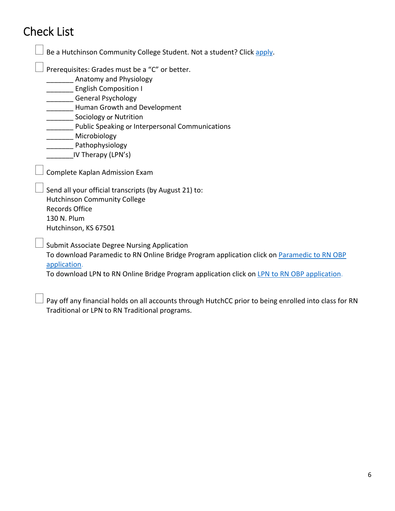# Check List

| Prerequisites: Grades must be a "C" or better.                                                             |
|------------------------------------------------------------------------------------------------------------|
| Anatomy and Physiology                                                                                     |
| <b>English Composition I</b>                                                                               |
| General Psychology                                                                                         |
| <b>Human Growth and Development</b>                                                                        |
| <b>Sociology or Nutrition</b>                                                                              |
| Public Speaking or Interpersonal Communications                                                            |
| Microbiology                                                                                               |
| Pathophysiology                                                                                            |
| IV Therapy (LPN's)                                                                                         |
| Complete Kaplan Admission Exam                                                                             |
| Send all your official transcripts (by August 21) to:<br><b>Hutchinson Community College</b>               |
| <b>Records Office</b>                                                                                      |
| 130 N. Plum                                                                                                |
| Hutchinson, KS 67501                                                                                       |
| <b>Submit Associate Degree Nursing Application</b>                                                         |
| To download Paramedic to RN Online Bridge Program application click on Paramedic to RN OBP<br>application. |

 $\Box$  Pay off any financial holds on all accounts through HutchCC prior to being enrolled into class for RN Traditional or LPN to RN Traditional programs.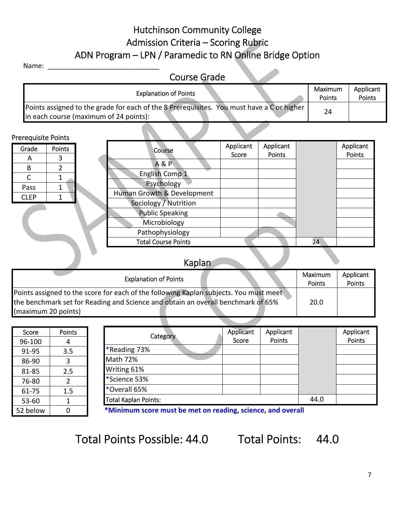## Hutchinson Community College Admission Criteria – Scoring Rubric ADN Program – LPN / Paramedic to RN Online Bridge Option

#### Name:

#### Course Grade Explanation of Points **Maximum** Points Applicant Points Points assigned to the grade for each of the 8 Prerequisites. You must have a C or higher in each course (maximum of 24 points):

### Prerequisite Points

| . <del>.</del> . <del>.</del><br>Grade | Points | Course                     | Applicant | Applicant |    | Applicant |
|----------------------------------------|--------|----------------------------|-----------|-----------|----|-----------|
| $\overline{A}$                         | 3      |                            | Score     | Points    |    | Points    |
| B                                      |        | <b>A&amp;P</b>             |           |           |    |           |
|                                        |        | English Comp 1             |           |           |    |           |
| Pass                                   |        | Psychology                 |           |           |    |           |
|                                        |        | Human Growth & Development |           |           |    |           |
| <b>CLEP</b>                            |        | Sociology / Nutrition      |           |           |    |           |
|                                        |        | <b>Public Speaking</b>     |           |           |    |           |
|                                        |        | Microbiology               |           |           |    |           |
|                                        |        | Pathophysiology            |           |           |    |           |
|                                        |        | <b>Total Course Points</b> |           |           | 24 |           |

#### Kaplan Explanation of Points **Maximum** Points Applicant Points Points assigned to the score for each of the following Kaplan subjects. You must meet the benchmark set for Reading and Science and obtain an overall benchmark of 65% (maximum 20 points) 20.0

| Score    | Points         |
|----------|----------------|
| 96-100   | 4              |
| 91-95    | 3.5            |
| 86-90    | 3              |
| 81-85    | 2.5            |
| 76-80    | $\overline{2}$ |
| 61-75    | 1.5            |
| 53-60    | 1              |
| 52 below | N              |

| Category                    | Applicant<br>Score | Applicant<br>Points |      | Applicant<br>Points |
|-----------------------------|--------------------|---------------------|------|---------------------|
| *Reading 73%                |                    |                     |      |                     |
| Math 72%                    |                    |                     |      |                     |
| Writing 61%                 |                    |                     |      |                     |
| *Science 53%                |                    |                     |      |                     |
| *Overall 65%                |                    |                     |      |                     |
| <b>Total Kaplan Points:</b> |                    |                     | 44.0 |                     |

**\*Minimum score must be met on reading, science, and overall**

Total Points Possible: 44.0 Total Points: 44.0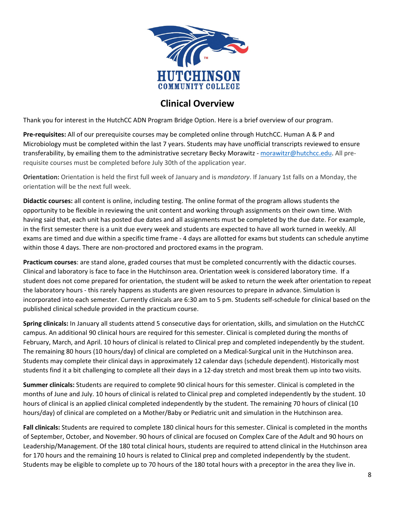

## **Clinical Overview**

Thank you for interest in the HutchCC ADN Program Bridge Option. Here is a brief overview of our program.

**Pre‐requisites:** All of our prerequisite courses may be completed online through HutchCC. Human A & P and Microbiology must be completed within the last 7 years. Students may have unofficial transcripts reviewed to ensure transferability, by emailing them to the administrative secretary Becky Morawitz - morawitzr@hutchcc.edu. All prerequisite courses must be completed before July 30th of the application year.

**Orientation:** Orientation is held the first full week of January and is *mandatory*. If January 1st falls on a Monday, the orientation will be the next full week.

**Didactic courses:** all content is online, including testing. The online format of the program allows students the opportunity to be flexible in reviewing the unit content and working through assignments on their own time. With having said that, each unit has posted due dates and all assignments must be completed by the due date. For example, in the first semester there is a unit due every week and students are expected to have all work turned in weekly. All exams are timed and due within a specific time frame ‐ 4 days are allotted for exams but students can schedule anytime within those 4 days. There are non‐proctored and proctored exams in the program.

**Practicum courses**: are stand alone, graded courses that must be completed concurrently with the didactic courses. Clinical and laboratory is face to face in the Hutchinson area. Orientation week is considered laboratory time. If a student does not come prepared for orientation, the student will be asked to return the week after orientation to repeat the laboratory hours ‐ this rarely happens as students are given resources to prepare in advance. Simulation is incorporated into each semester. Currently clinicals are 6:30 am to 5 pm. Students self‐schedule for clinical based on the published clinical schedule provided in the practicum course.

**Spring clinicals:** In January all students attend 5 consecutive days for orientation, skills, and simulation on the HutchCC campus. An additional 90 clinical hours are required for this semester. Clinical is completed during the months of February, March, and April. 10 hours of clinical is related to Clinical prep and completed independently by the student. The remaining 80 hours (10 hours/day) of clinical are completed on a Medical‐Surgical unit in the Hutchinson area. Students may complete their clinical days in approximately 12 calendar days (schedule dependent). Historically most students find it a bit challenging to complete all their days in a 12‐day stretch and most break them up into two visits.

**Summer clinicals:** Students are required to complete 90 clinical hours for this semester. Clinical is completed in the months of June and July. 10 hours of clinical is related to Clinical prep and completed independently by the student. 10 hours of clinical is an applied clinical completed independently by the student. The remaining 70 hours of clinical (10 hours/day) of clinical are completed on a Mother/Baby or Pediatric unit and simulation in the Hutchinson area.

**Fall clinicals:** Students are required to complete 180 clinical hours for this semester. Clinical is completed in the months of September, October, and November. 90 hours of clinical are focused on Complex Care of the Adult and 90 hours on Leadership/Management. Of the 180 total clinical hours, students are required to attend clinical in the Hutchinson area for 170 hours and the remaining 10 hours is related to Clinical prep and completed independently by the student. Students may be eligible to complete up to 70 hours of the 180 total hours with a preceptor in the area they live in.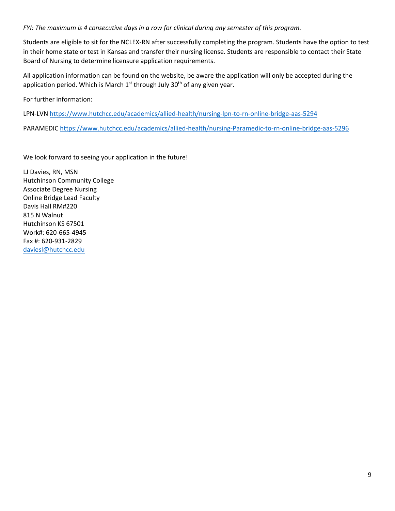#### *FYI: The maximum is 4 consecutive days in a row for clinical during any semester of this program.*

Students are eligible to sit for the NCLEX‐RN after successfully completing the program. Students have the option to test in their home state or test in Kansas and transfer their nursing license. Students are responsible to contact their State Board of Nursing to determine licensure application requirements.

All application information can be found on the website, be aware the application will only be accepted during the application period. Which is March  $1<sup>st</sup>$  through July 30<sup>th</sup> of any given year.

For further information:

LPN-LVN [https://www.hutchcc.edu/academics/allied](https://www.hutchcc.edu/academics/allied-health/nursing-lpn-to-rn-online-bridge-aas-5294)-health/nursing-lpn-to-rn-online-bridge-aas-5294

PARAMEDIC [https://www.hutchcc.edu/academics/allied](https://www.hutchcc.edu/academics/allied-health/nursing-paramedic-to-rn-online-bridge-aas-5296)‐health/nursing‐Paramedic‐to‐rn‐online‐bridge‐aas‐5296

We look forward to seeing your application in the future!

LJ Davies, RN, MSN Hutchinson Community College Associate Degree Nursing Online Bridge Lead Faculty Davis Hall RM#220 815 N Walnut Hutchinson KS 67501 Work#: 620‐665‐4945 Fax #: 620‐931‐2829 daviesl@hutchcc.edu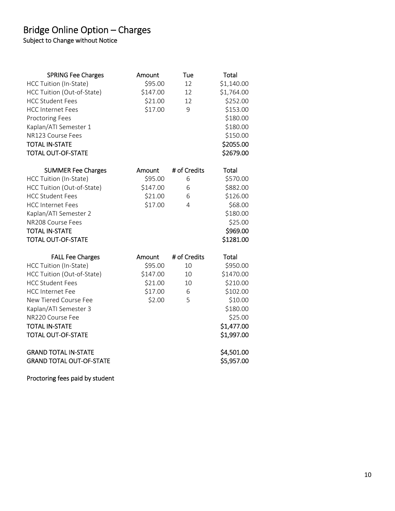## Bridge Online Option – Charges

Subject to Change without Notice

| <b>SPRING Fee Charges</b>       | Amount   | Tue          | Total      |
|---------------------------------|----------|--------------|------------|
| HCC Tuition (In-State)          | \$95.00  | 12           | \$1,140.00 |
| HCC Tuition (Out-of-State)      | \$147.00 | 12           | \$1,764.00 |
| <b>HCC Student Fees</b>         | \$21.00  | 12           | \$252.00   |
| <b>HCC Internet Fees</b>        | \$17.00  | 9            | \$153.00   |
| <b>Proctoring Fees</b>          |          |              | \$180.00   |
| Kaplan/ATI Semester 1           |          |              | \$180.00   |
| NR123 Course Fees               |          |              | \$150.00   |
| <b>TOTAL IN-STATE</b>           |          |              | \$2055.00  |
| <b>TOTAL OUT-OF-STATE</b>       |          |              | \$2679.00  |
| <b>SUMMER Fee Charges</b>       | Amount   | # of Credits | Total      |
| HCC Tuition (In-State)          | \$95.00  | 6            | \$570.00   |
| HCC Tuition (Out-of-State)      | \$147.00 | 6            | \$882.00   |
| <b>HCC Student Fees</b>         | \$21.00  | 6            | \$126.00   |
| <b>HCC Internet Fees</b>        | \$17.00  | 4            | \$68.00    |
| Kaplan/ATI Semester 2           |          |              | \$180.00   |
| NR208 Course Fees               |          |              | \$25.00    |
| <b>TOTAL IN-STATE</b>           |          |              | \$969.00   |
| <b>TOTAL OUT-OF-STATE</b>       |          |              | \$1281.00  |
| <b>FALL Fee Charges</b>         | Amount   | # of Credits | Total      |
| HCC Tuition (In-State)          | \$95.00  | 10           | \$950.00   |
| HCC Tuition (Out-of-State)      | \$147.00 | 10           | \$1470.00  |
| <b>HCC Student Fees</b>         | \$21.00  | 10           | \$210.00   |
| <b>HCC Internet Fee</b>         | \$17.00  | 6            | \$102.00   |
| New Tiered Course Fee           | \$2.00   | 5            | \$10.00    |
| Kaplan/ATI Semester 3           |          |              | \$180.00   |
| NR220 Course Fee                |          |              | \$25.00    |
| <b>TOTAL IN-STATE</b>           |          |              | \$1,477.00 |
| <b>TOTAL OUT-OF-STATE</b>       |          |              | \$1,997.00 |
| <b>GRAND TOTAL IN-STATE</b>     |          |              | \$4,501.00 |
| <b>GRAND TOTAL OUT-OF-STATE</b> |          |              | \$5,957.00 |

Proctoring fees paid by student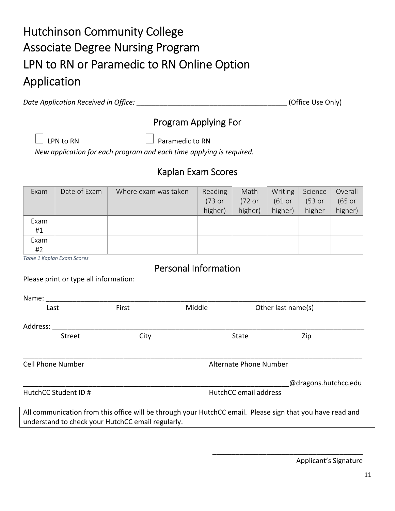# Hutchinson Community College Associate Degree Nursing Program LPN to RN or Paramedic to RN Online Option Application

*Date Application Received in Office:* \_\_\_\_\_\_\_\_\_\_\_\_\_\_\_\_\_\_\_\_\_\_\_\_\_\_\_\_\_\_\_\_\_\_\_\_\_\_\_ (Office Use Only)

## Program Applying For

LPN to RN  $\Box$  Paramedic to RN

*New application for each program and each time applying is required.*

## Kaplan Exam Scores

| Exam | Date of Exam | Where exam was taken | Reading | Math    | Writing | Science | Overall |
|------|--------------|----------------------|---------|---------|---------|---------|---------|
|      |              |                      | (73 or  | (72 or  | (61 or  | (53 or  | (65 or  |
|      |              |                      | higher) | higher) | higher) | higher  | higher) |
| Exam |              |                      |         |         |         |         |         |
| #1   |              |                      |         |         |         |         |         |
| Exam |              |                      |         |         |         |         |         |
| #2   |              |                      |         |         |         |         |         |

*Table 1 Kaplan Exam Scores* 

## Personal Information

Please print or type all information:

| Name:                    |                                                   |        |                        |                                                                                                           |  |
|--------------------------|---------------------------------------------------|--------|------------------------|-----------------------------------------------------------------------------------------------------------|--|
| Last                     | First                                             | Middle | Other last name(s)     |                                                                                                           |  |
| Address:                 |                                                   |        |                        |                                                                                                           |  |
| Street                   | City                                              |        | State                  | Zip                                                                                                       |  |
| <b>Cell Phone Number</b> |                                                   |        | Alternate Phone Number |                                                                                                           |  |
|                          |                                                   |        |                        | @dragons.hutchcc.edu                                                                                      |  |
| HutchCC Student ID #     |                                                   |        | HutchCC email address  |                                                                                                           |  |
|                          | understand to check your HutchCC email regularly. |        |                        | All communication from this office will be through your HutchCC email. Please sign that you have read and |  |

Applicant's Signature

\_\_\_\_\_\_\_\_\_\_\_\_\_\_\_\_\_\_\_\_\_\_\_\_\_\_\_\_\_\_\_\_\_\_\_\_\_\_\_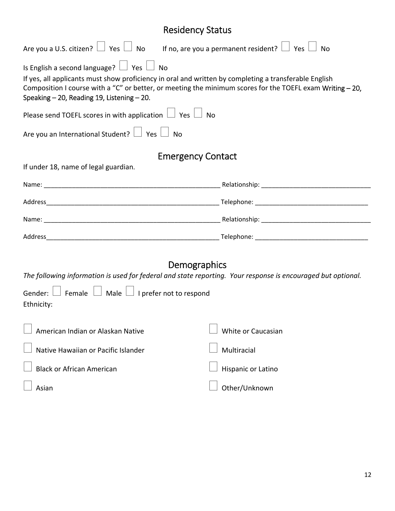## Residency Status

| Are you a U.S. citizen? $\Box$ Yes $\Box$ No If no, are you a permanent resident? $\Box$ Yes $\Box$<br>No                                                                                                                                                                                                              |                    |  |  |  |  |  |  |
|------------------------------------------------------------------------------------------------------------------------------------------------------------------------------------------------------------------------------------------------------------------------------------------------------------------------|--------------------|--|--|--|--|--|--|
| Is English a second language? $\Box$ Yes $\Box$ No<br>If yes, all applicants must show proficiency in oral and written by completing a transferable English<br>Composition I course with a "C" or better, or meeting the minimum scores for the TOEFL exam Writing - 20,<br>Speaking - 20, Reading 19, Listening - 20. |                    |  |  |  |  |  |  |
| Please send TOEFL scores in with application $\Box$ Yes $\Box$ No                                                                                                                                                                                                                                                      |                    |  |  |  |  |  |  |
| Are you an International Student? $\Box$ Yes $\Box$ No                                                                                                                                                                                                                                                                 |                    |  |  |  |  |  |  |
| <b>Emergency Contact</b><br>If under 18, name of legal guardian.                                                                                                                                                                                                                                                       |                    |  |  |  |  |  |  |
|                                                                                                                                                                                                                                                                                                                        |                    |  |  |  |  |  |  |
|                                                                                                                                                                                                                                                                                                                        |                    |  |  |  |  |  |  |
|                                                                                                                                                                                                                                                                                                                        |                    |  |  |  |  |  |  |
|                                                                                                                                                                                                                                                                                                                        |                    |  |  |  |  |  |  |
|                                                                                                                                                                                                                                                                                                                        |                    |  |  |  |  |  |  |
| Demographics<br>The following information is used for federal and state reporting. Your response is encouraged but optional.<br>Gender: $\Box$ Female $\Box$ Male $\Box$ I prefer not to respond<br>Ethnicity:                                                                                                         |                    |  |  |  |  |  |  |
| American Indian or Alaskan Native                                                                                                                                                                                                                                                                                      | White or Caucasian |  |  |  |  |  |  |
| Native Hawaiian or Pacific Islander                                                                                                                                                                                                                                                                                    | Multiracial        |  |  |  |  |  |  |
| <b>Black or African American</b>                                                                                                                                                                                                                                                                                       | Hispanic or Latino |  |  |  |  |  |  |
| Asian                                                                                                                                                                                                                                                                                                                  | Other/Unknown      |  |  |  |  |  |  |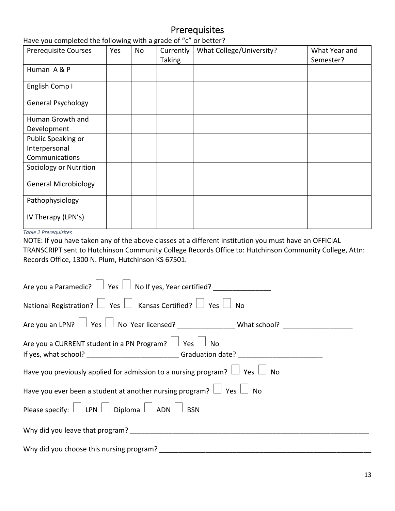## Prerequisites

| There you completed the following with a grade of to the better.<br><b>Prerequisite Courses</b> | Yes | <b>No</b> | Currently     | What College/University? | What Year and |
|-------------------------------------------------------------------------------------------------|-----|-----------|---------------|--------------------------|---------------|
|                                                                                                 |     |           | <b>Taking</b> |                          | Semester?     |
| Human A & P                                                                                     |     |           |               |                          |               |
| English Comp I                                                                                  |     |           |               |                          |               |
| <b>General Psychology</b>                                                                       |     |           |               |                          |               |
| Human Growth and                                                                                |     |           |               |                          |               |
| Development                                                                                     |     |           |               |                          |               |
| Public Speaking or                                                                              |     |           |               |                          |               |
| Interpersonal                                                                                   |     |           |               |                          |               |
| Communications                                                                                  |     |           |               |                          |               |
| Sociology or Nutrition                                                                          |     |           |               |                          |               |
| <b>General Microbiology</b>                                                                     |     |           |               |                          |               |
| Pathophysiology                                                                                 |     |           |               |                          |               |
| IV Therapy (LPN's)                                                                              |     |           |               |                          |               |

Have you completed the following with a grade of "c" or better?

*Table 2 Prerequisites*

NOTE: If you have taken any of the above classes at a different institution you must have an OFFICIAL TRANSCRIPT sent to Hutchinson Community College Records Office to: Hutchinson Community College, Attn: Records Office, 1300 N. Plum, Hutchinson KS 67501.

| Are you a Paramedic? $\Box$ Yes $\Box$ No If yes, Year certified? ___________________                |  |  |  |  |  |  |
|------------------------------------------------------------------------------------------------------|--|--|--|--|--|--|
| National Registration? $\Box$ Yes $\Box$ Kansas Certified? $\Box$ Yes $\Box$ No                      |  |  |  |  |  |  |
|                                                                                                      |  |  |  |  |  |  |
| Are you a CURRENT student in a PN Program? $\Box$ Yes $\Box$ No                                      |  |  |  |  |  |  |
| If yes, what school? _____________________________Graduation date? _________________________________ |  |  |  |  |  |  |
| Have you previously applied for admission to a nursing program? $\Box$ Yes $\Box$ No                 |  |  |  |  |  |  |
| Have you ever been a student at another nursing program? $\Box$ Yes $\Box$ No                        |  |  |  |  |  |  |
| Please specify: $\Box$ LPN $\Box$ Diploma $\Box$ ADN $\Box$ BSN                                      |  |  |  |  |  |  |
|                                                                                                      |  |  |  |  |  |  |
| Why did you choose this nursing program?                                                             |  |  |  |  |  |  |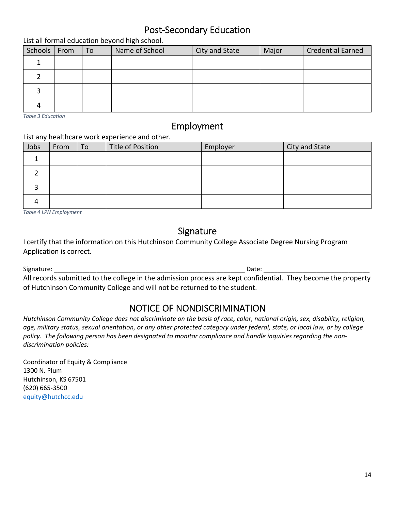## Post‐Secondary Education

List all formal education beyond high school.

| Schools   From | To | Name of School | City and State | Major | <b>Credential Earned</b> |
|----------------|----|----------------|----------------|-------|--------------------------|
|                |    |                |                |       |                          |
|                |    |                |                |       |                          |
|                |    |                |                |       |                          |
|                |    |                |                |       |                          |

*Table 3 Education* 

## Employment

### List any healthcare work experience and other.

| Jobs | From | To | Title of Position | Employer | City and State |
|------|------|----|-------------------|----------|----------------|
|      |      |    |                   |          |                |
|      |      |    |                   |          |                |
|      |      |    |                   |          |                |
|      |      |    |                   |          |                |

*Table 4 LPN Employment*

## Signature

I certify that the information on this Hutchinson Community College Associate Degree Nursing Program Application is correct.

Signature: \_\_\_\_\_\_\_\_\_\_\_\_\_\_\_\_\_\_\_\_\_\_\_\_\_\_\_\_\_\_\_\_\_\_\_\_\_\_\_\_\_\_\_\_\_\_\_\_\_\_\_\_\_\_ Date: \_\_\_\_\_\_\_\_\_\_\_\_\_\_\_\_\_\_\_\_\_\_\_\_\_\_\_\_\_\_ All records submitted to the college in the admission process are kept confidential. They become the property of Hutchinson Community College and will not be returned to the student.

## NOTICE OF NONDISCRIMINATION

Hutchinson Community College does not discriminate on the basis of race, color, national origin, sex, disability, religion, age, military status, sexual orientation, or any other protected category under federal, state, or local law, or by college policy. The following person has been designated to monitor compliance and handle inquiries regarding the non*discrimination policies:*

Coordinator of Equity & Compliance 1300 N. Plum Hutchinson, KS 67501 (620) 665‐3500 equity@hutchcc.edu